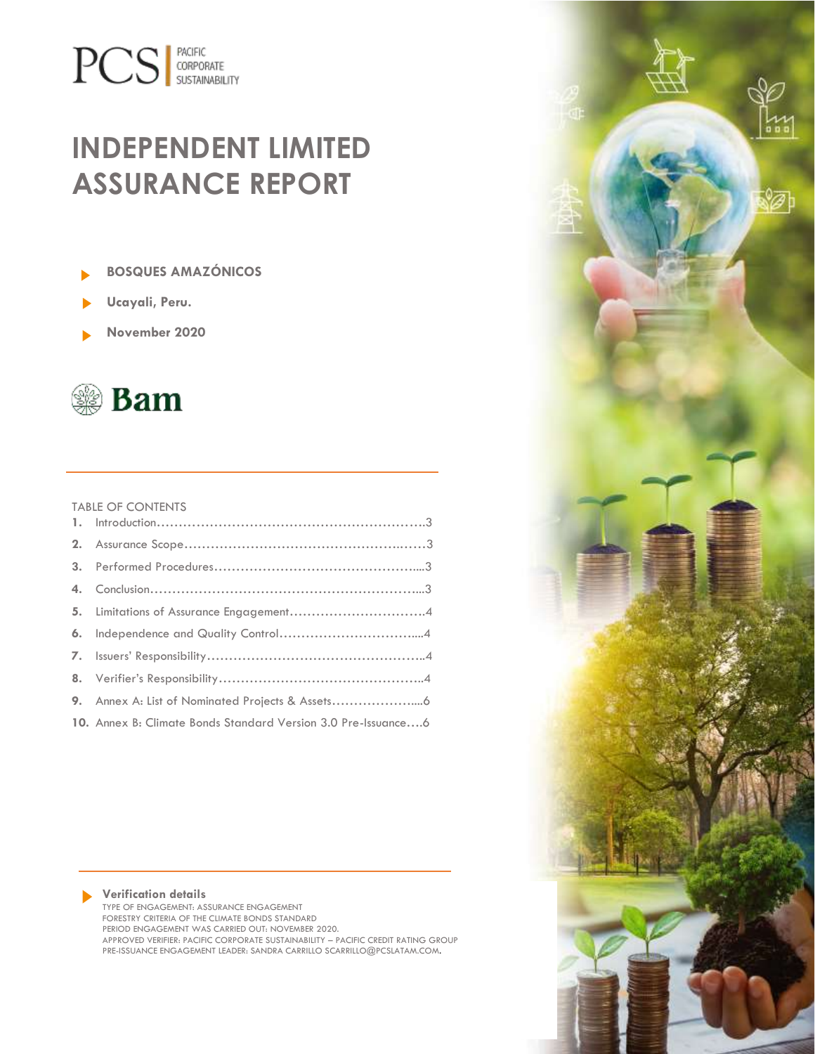# **PCS** SUSTAINABILITY

# **INDEPENDENT LIMITED ASSURANCE REPORT**



- **Ucayali, Peru.**
- **November 2020**



#### TABLE OF CONTENTS

| 10. Annex B: Climate Bonds Standard Version 3.0 Pre-Issuance6 |
|---------------------------------------------------------------|

#### **Verification details**

TYPE OF ENGAGEMENT: ASSURANCE ENGAGEMENT FORESTRY CRITERIA OF THE CLIMATE BONDS STANDARD PERIOD ENGAGEMENT WAS CARRIED OUT: NOVEMBER 2020. APPROVED VERIFIER: PACIFIC CORPORATE SUSTAINABILITY – PACIFIC CREDIT RATING GROUP PRE-ISSUANCE ENGAGEMENT LEADER: SANDRA CARRILLO SCARRILLO@PCSLATAM.COM.

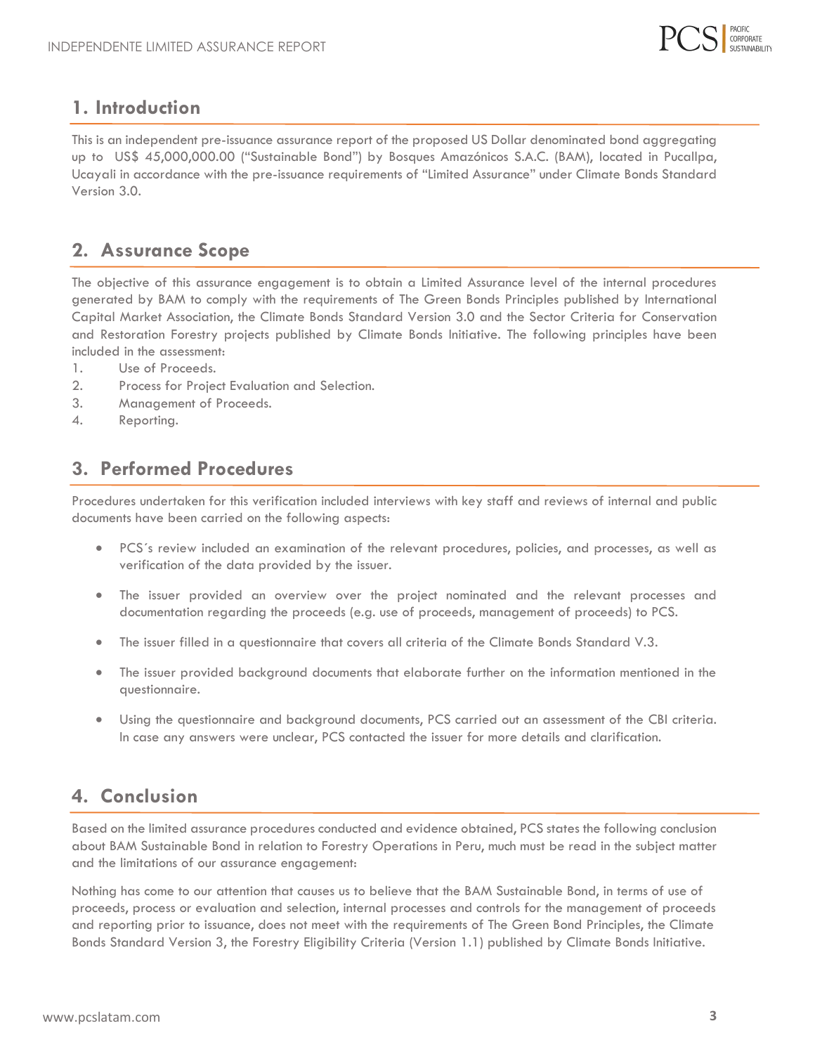

#### **1. Introduction**

<span id="page-1-0"></span>This is an independent pre-issuance assurance report of the proposed US Dollar denominated bond aggregating up to US\$ 45,000,000.00 ("Sustainable Bond") by Bosques Amazónicos S.A.C. (BAM), located in Pucallpa, Ucayali in accordance with the pre-issuance requirements of "Limited Assurance" under Climate Bonds Standard Version 3.0.

#### **2. Assurance Scope**

<span id="page-1-1"></span>The objective of this assurance engagement is to obtain a Limited Assurance level of the internal procedures generated by BAM to comply with the requirements of The Green Bonds Principles published by International Capital Market Association, the Climate Bonds Standard Version 3.0 and the Sector Criteria for Conservation and Restoration Forestry projects published by Climate Bonds Initiative. The following principles have been included in the assessment:

- 1. Use of Proceeds.
- 2. Process for Project Evaluation and Selection.
- 3. Management of Proceeds.
- 4. Reporting.

#### **3. Performed Procedures**

<span id="page-1-2"></span>Procedures undertaken for this verification included interviews with key staff and reviews of internal and public documents have been carried on the following aspects:

- PCS´s review included an examination of the relevant procedures, policies, and processes, as well as verification of the data provided by the issuer.
- The issuer provided an overview over the project nominated and the relevant processes and documentation regarding the proceeds (e.g. use of proceeds, management of proceeds) to PCS.
- The issuer filled in a questionnaire that covers all criteria of the Climate Bonds Standard V.3.
- The issuer provided background documents that elaborate further on the information mentioned in the questionnaire.
- Using the questionnaire and background documents, PCS carried out an assessment of the CBI criteria. In case any answers were unclear, PCS contacted the issuer for more details and clarification.

#### <span id="page-1-3"></span>**4. Conclusion**

Based on the limited assurance procedures conducted and evidence obtained, PCS states the following conclusion about BAM Sustainable Bond in relation to Forestry Operations in Peru, much must be read in the subject matter and the limitations of our assurance engagement:

Nothing has come to our attention that causes us to believe that the BAM Sustainable Bond, in terms of use of proceeds, process or evaluation and selection, internal processes and controls for the management of proceeds and reporting prior to issuance, does not meet with the requirements of The Green Bond Principles, the Climate Bonds Standard Version 3, the Forestry Eligibility Criteria (Version 1.1) published by Climate Bonds Initiative.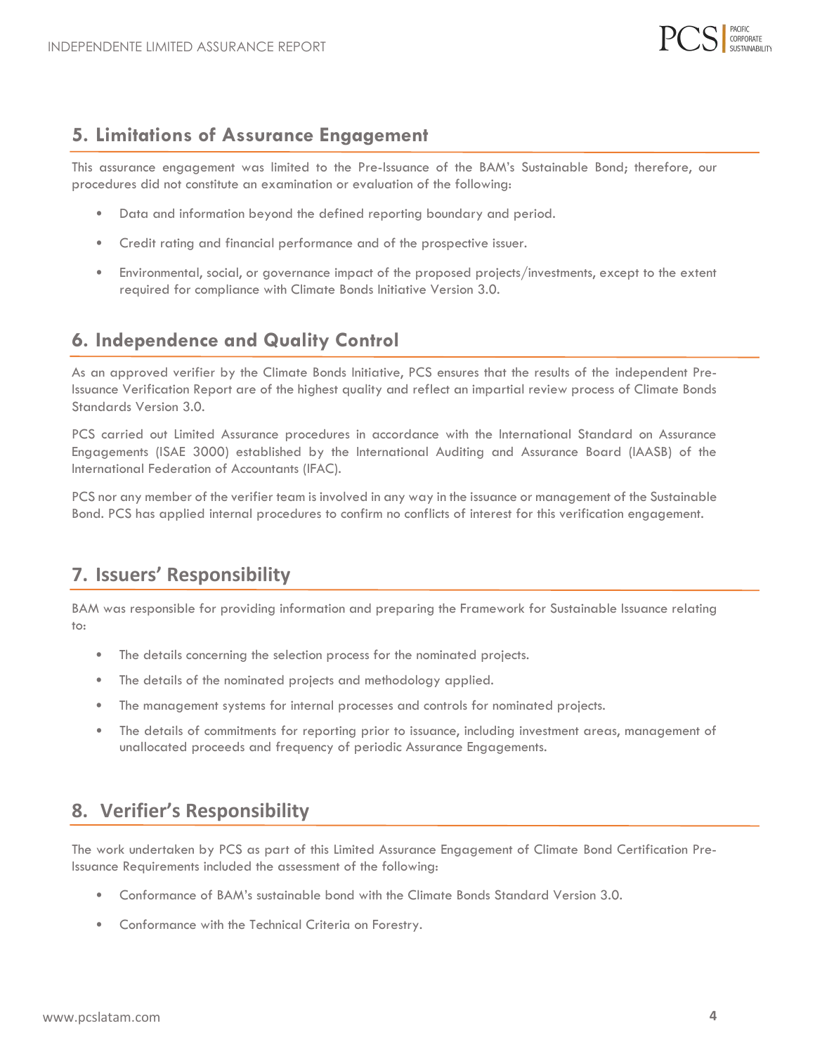

#### <span id="page-2-0"></span>**5. Limitations of Assurance Engagement**

This assurance engagement was limited to the Pre-Issuance of the BAM's Sustainable Bond; therefore, our procedures did not constitute an examination or evaluation of the following:

- Data and information beyond the defined reporting boundary and period.
- Credit rating and financial performance and of the prospective issuer.
- Environmental, social, or governance impact of the proposed projects/investments, except to the extent required for compliance with Climate Bonds Initiative Version 3.0.

#### **6. Independence and Quality Control**

<span id="page-2-1"></span>As an approved verifier by the Climate Bonds Initiative, PCS ensures that the results of the independent Pre-Issuance Verification Report are of the highest quality and reflect an impartial review process of Climate Bonds Standards Version 3.0.

PCS carried out Limited Assurance procedures in accordance with the International Standard on Assurance Engagements (ISAE 3000) established by the International Auditing and Assurance Board (IAASB) of the International Federation of Accountants (IFAC).

PCS nor any member of the verifier team is involved in any way in the issuance or management of the Sustainable Bond. PCS has applied internal procedures to confirm no conflicts of interest for this verification engagement.

### **7. Issuers' Responsibility**

<span id="page-2-2"></span>BAM was responsible for providing information and preparing the Framework for Sustainable Issuance relating to:

- The details concerning the selection process for the nominated projects.
- The details of the nominated projects and methodology applied.
- The management systems for internal processes and controls for nominated projects.
- The details of commitments for reporting prior to issuance, including investment areas, management of unallocated proceeds and frequency of periodic Assurance Engagements.

#### <span id="page-2-3"></span>**8. Verifier's Responsibility**

The work undertaken by PCS as part of this Limited Assurance Engagement of Climate Bond Certification Pre-Issuance Requirements included the assessment of the following:

- Conformance of BAM's sustainable bond with the Climate Bonds Standard Version 3.0.
- Conformance with the Technical Criteria on Forestry.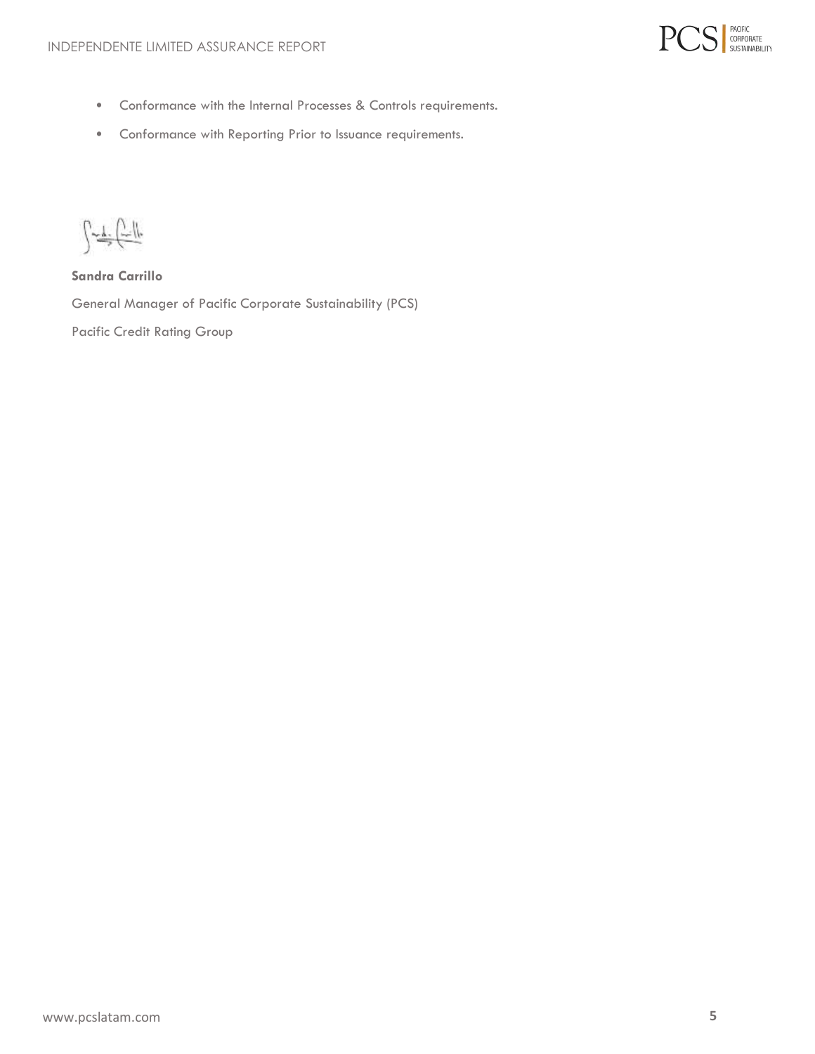

- Conformance with the Internal Processes & Controls requirements.
- Conformance with Reporting Prior to Issuance requirements.

 $\int \frac{1}{\sqrt{1-\frac{1}{2}}\sqrt{\frac{1}{2}}\sqrt{\frac{1}{2}}\sqrt{\frac{1}{2}}\sqrt{\frac{1}{2}}\sqrt{\frac{1}{2}}\sqrt{\frac{1}{2}}\sqrt{\frac{1}{2}}\sqrt{\frac{1}{2}}\sqrt{\frac{1}{2}}\sqrt{\frac{1}{2}}\sqrt{\frac{1}{2}}\sqrt{\frac{1}{2}}\sqrt{\frac{1}{2}}\sqrt{\frac{1}{2}}\sqrt{\frac{1}{2}}\sqrt{\frac{1}{2}}\sqrt{\frac{1}{2}}\sqrt{\frac{1}{2}}\sqrt{\frac{1}{2}}\sqrt{\frac{1}{2}}\sqrt{\frac{1}{2}}\sqrt{\frac{1}{2}}\sqrt{\frac$ 

**Sandra Carrillo**

General Manager of Pacific Corporate Sustainability (PCS)

Pacific Credit Rating Group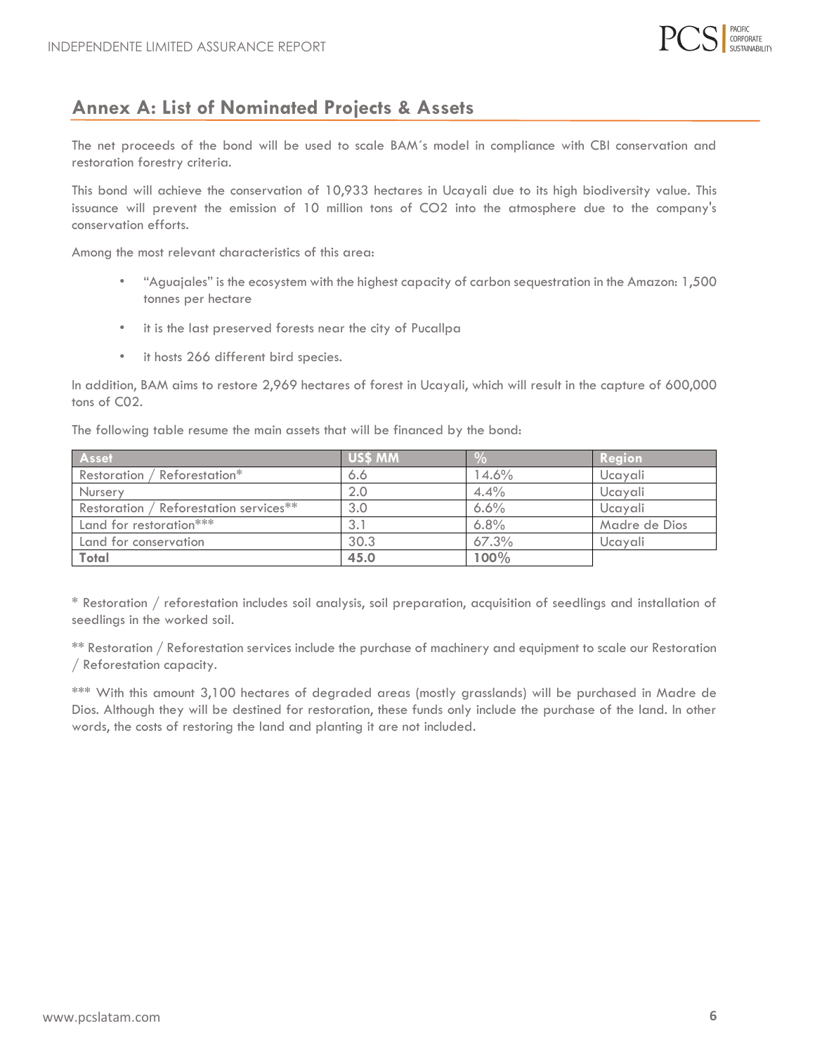

#### <span id="page-4-0"></span>**Annex A: List of Nominated Projects & Assets**

<span id="page-4-1"></span>The net proceeds of the bond will be used to scale BAM´s model in compliance with CBI conservation and restoration forestry criteria.

This bond will achieve the conservation of 10,933 hectares in Ucayali due to its high biodiversity value. This issuance will prevent the emission of 10 million tons of CO2 into the atmosphere due to the company's conservation efforts.

Among the most relevant characteristics of this area:

- "Aguajales" is the ecosystem with the highest capacity of carbon sequestration in the Amazon: 1,500 tonnes per hectare
- it is the last preserved forests near the city of Pucallpa
- it hosts 266 different bird species.

In addition, BAM aims to restore 2,969 hectares of forest in Ucayali, which will result in the capture of 600,000 tons of C02.

The following table resume the main assets that will be financed by the bond:

| Asset                                  | US\$ MM |       | Region        |
|----------------------------------------|---------|-------|---------------|
| Restoration / Reforestation*           | 6.6     | 14.6% | Ucayali       |
| Nursery                                |         | 4.4%  | Ucayali       |
| Restoration / Reforestation services** | 3.0     | 6.6%  | Ucayali       |
| Land for restoration***                |         | 6.8%  | Madre de Dios |
| Land for conservation                  | 30.3    | 67.3% | Ucayali       |
| <b>Total</b>                           | 45.0    | 100%  |               |

\* Restoration / reforestation includes soil analysis, soil preparation, acquisition of seedlings and installation of seedlings in the worked soil.

\*\* Restoration / Reforestation services include the purchase of machinery and equipment to scale our Restoration / Reforestation capacity.

\*\*\* With this amount 3,100 hectares of degraded areas (mostly grasslands) will be purchased in Madre de Dios. Although they will be destined for restoration, these funds only include the purchase of the land. In other words, the costs of restoring the land and planting it are not included.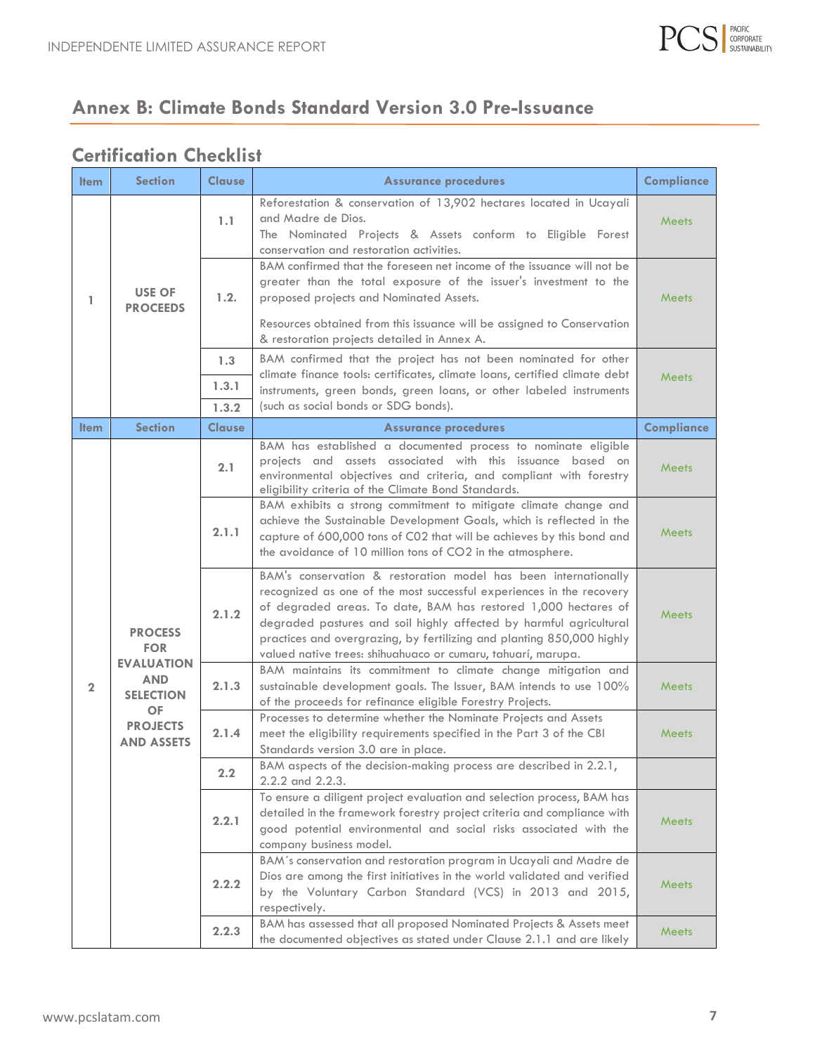

## **Annex B: Climate Bonds Standard Version 3.0 Pre-Issuance**

#### **Certification Checklist**

| <b>Item</b>    | <b>Section</b>                                                                                                                           | <b>Clause</b> | <b>Assurance procedures</b>                                                                                                                                                                                                                                                    | <b>Compliance</b>                                                                                                                                                                                                                                                                                                                                                                                                        |              |
|----------------|------------------------------------------------------------------------------------------------------------------------------------------|---------------|--------------------------------------------------------------------------------------------------------------------------------------------------------------------------------------------------------------------------------------------------------------------------------|--------------------------------------------------------------------------------------------------------------------------------------------------------------------------------------------------------------------------------------------------------------------------------------------------------------------------------------------------------------------------------------------------------------------------|--------------|
| 1              | <b>USE OF</b><br><b>PROCEEDS</b>                                                                                                         | 1.1           | Reforestation & conservation of 13,902 hectares located in Ucayali<br>and Madre de Dios.<br>The Nominated Projects & Assets conform to Eligible Forest<br>conservation and restoration activities.                                                                             | <b>Meets</b>                                                                                                                                                                                                                                                                                                                                                                                                             |              |
|                |                                                                                                                                          | 1.2.          | BAM confirmed that the foreseen net income of the issuance will not be<br>greater than the total exposure of the issuer's investment to the<br>proposed projects and Nominated Assets.                                                                                         | <b>Meets</b>                                                                                                                                                                                                                                                                                                                                                                                                             |              |
|                |                                                                                                                                          |               | Resources obtained from this issuance will be assigned to Conservation<br>& restoration projects detailed in Annex A.                                                                                                                                                          |                                                                                                                                                                                                                                                                                                                                                                                                                          |              |
|                |                                                                                                                                          | 1.3           | BAM confirmed that the project has not been nominated for other<br>climate finance tools: certificates, climate loans, certified climate debt                                                                                                                                  | <b>Meets</b>                                                                                                                                                                                                                                                                                                                                                                                                             |              |
|                |                                                                                                                                          | 1.3.1         | instruments, green bonds, green loans, or other labeled instruments                                                                                                                                                                                                            |                                                                                                                                                                                                                                                                                                                                                                                                                          |              |
|                |                                                                                                                                          | 1.3.2         | (such as social bonds or SDG bonds).                                                                                                                                                                                                                                           |                                                                                                                                                                                                                                                                                                                                                                                                                          |              |
| <b>Item</b>    | <b>Section</b>                                                                                                                           | <b>Clause</b> | <b>Assurance procedures</b>                                                                                                                                                                                                                                                    | <b>Compliance</b>                                                                                                                                                                                                                                                                                                                                                                                                        |              |
| $\overline{2}$ |                                                                                                                                          | 2.1           | BAM has established a documented process to nominate eligible<br>projects and assets associated with this issuance based on<br>environmental objectives and criteria, and compliant with forestry<br>eligibility criteria of the Climate Bond Standards.                       | <b>Meets</b>                                                                                                                                                                                                                                                                                                                                                                                                             |              |
|                | <b>PROCESS</b><br><b>FOR</b><br><b>EVALUATION</b><br><b>AND</b><br><b>SELECTION</b><br><b>OF</b><br><b>PROJECTS</b><br><b>AND ASSETS</b> | 2.1.1         | BAM exhibits a strong commitment to mitigate climate change and<br>achieve the Sustainable Development Goals, which is reflected in the<br>capture of 600,000 tons of C02 that will be achieves by this bond and<br>the avoidance of 10 million tons of CO2 in the atmosphere. | <b>Meets</b>                                                                                                                                                                                                                                                                                                                                                                                                             |              |
|                |                                                                                                                                          |               | 2.1.2                                                                                                                                                                                                                                                                          | BAM's conservation & restoration model has been internationally<br>recognized as one of the most successful experiences in the recovery<br>of degraded areas. To date, BAM has restored 1,000 hectares of<br>degraded pastures and soil highly affected by harmful agricultural<br>practices and overgrazing, by fertilizing and planting 850,000 highly<br>valued native trees: shihuahuaco or cumaru, tahuarí, marupa. | <b>Meets</b> |
|                |                                                                                                                                          | 2.1.3         | BAM maintains its commitment to climate change mitigation and<br>sustainable development goals. The Issuer, BAM intends to use 100%<br>of the proceeds for refinance eligible Forestry Projects.                                                                               | <b>Meets</b>                                                                                                                                                                                                                                                                                                                                                                                                             |              |
|                |                                                                                                                                          | 2.1.4         | Processes to determine whether the Nominate Projects and Assets<br>meet the eligibility requirements specified in the Part 3 of the CBI<br>Standards version 3.0 are in place.                                                                                                 | <b>Meets</b>                                                                                                                                                                                                                                                                                                                                                                                                             |              |
|                |                                                                                                                                          | 2.2           | BAM aspects of the decision-making process are described in 2.2.1,<br>2.2.2 and 2.2.3.                                                                                                                                                                                         |                                                                                                                                                                                                                                                                                                                                                                                                                          |              |
|                |                                                                                                                                          | 2.2.1         | To ensure a diligent project evaluation and selection process, BAM has<br>detailed in the framework forestry project criteria and compliance with<br>good potential environmental and social risks associated with the<br>company business model.                              | Meets                                                                                                                                                                                                                                                                                                                                                                                                                    |              |
|                |                                                                                                                                          | 2.2.2         | BAM's conservation and restoration program in Ucayali and Madre de<br>Dios are among the first initiatives in the world validated and verified<br>by the Voluntary Carbon Standard (VCS) in 2013 and 2015,<br>respectively.                                                    | Meets                                                                                                                                                                                                                                                                                                                                                                                                                    |              |
|                |                                                                                                                                          | 2.2.3         | BAM has assessed that all proposed Nominated Projects & Assets meet<br>the documented objectives as stated under Clause 2.1.1 and are likely                                                                                                                                   | Meets                                                                                                                                                                                                                                                                                                                                                                                                                    |              |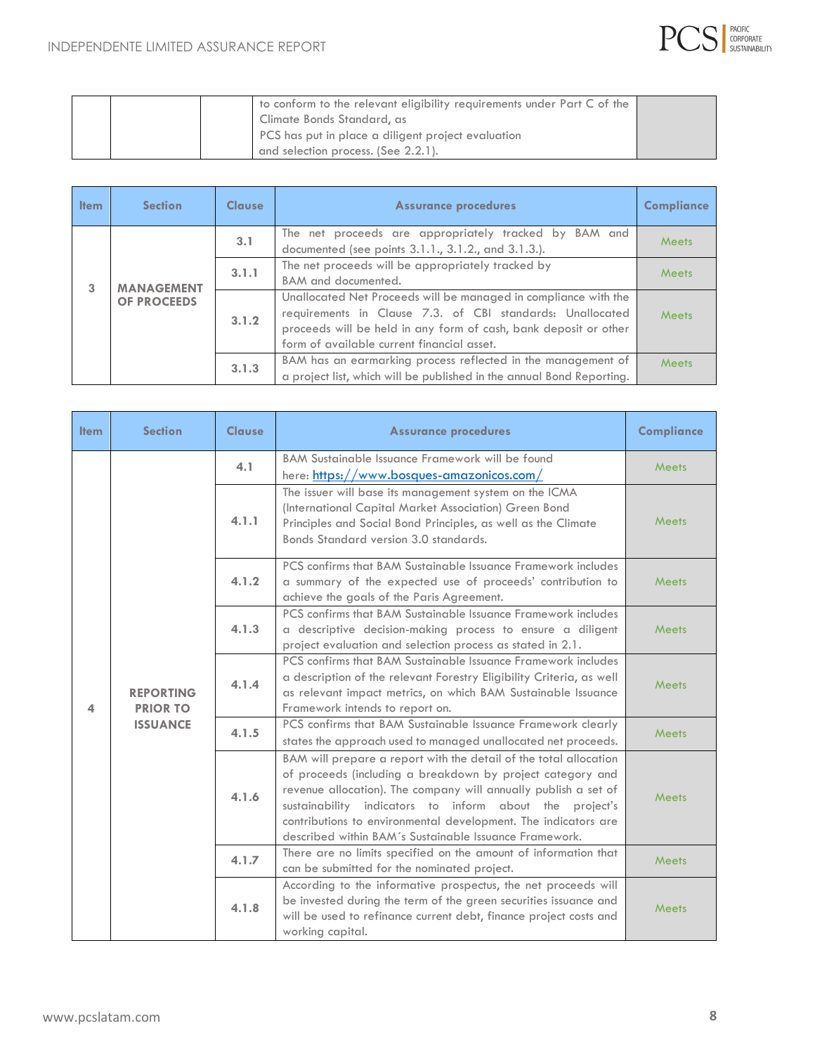

|  | to conform to the relevant eligibility requirements under Part C of the |  |
|--|-------------------------------------------------------------------------|--|
|  | Climate Bonds Standard, as                                              |  |
|  | PCS has put in place a diligent project evaluation                      |  |
|  | and selection process. (See 2.2.1).                                     |  |

| <b>Item</b> | <b>Section</b>     | <b>Clause</b> | <b>Assurance procedures</b>                                                                                                                                                                                                                    | <b>Compliance</b> |
|-------------|--------------------|---------------|------------------------------------------------------------------------------------------------------------------------------------------------------------------------------------------------------------------------------------------------|-------------------|
|             |                    | 3.1           | The net proceeds are appropriately tracked by BAM and<br>documented (see points 3.1.1., 3.1.2., and 3.1.3.).                                                                                                                                   | Meets             |
| 3           | <b>MANAGEMENT</b>  | 3.1.1         | The net proceeds will be appropriately tracked by<br>BAM and documented.                                                                                                                                                                       | Meets             |
|             | <b>OF PROCEEDS</b> | 3.1.2         | Unallocated Net Proceeds will be managed in compliance with the<br>requirements in Clause 7.3. of CBI standards: Unallocated<br>proceeds will be held in any form of cash, bank deposit or other<br>form of available current financial asset. | <b>Meets</b>      |
|             |                    | 3.1.3         | BAM has an earmarking process reflected in the management of<br>a project list, which will be published in the annual Bond Reporting.                                                                                                          | <b>Meets</b>      |

| <b>Item</b> | <b>Section</b>                                         | <b>Clause</b> | <b>Assurance procedures</b>                                                                                                                                                                                                               | <b>Compliance</b>                                                                                                                                                                                                                                                                                                                                                                         |
|-------------|--------------------------------------------------------|---------------|-------------------------------------------------------------------------------------------------------------------------------------------------------------------------------------------------------------------------------------------|-------------------------------------------------------------------------------------------------------------------------------------------------------------------------------------------------------------------------------------------------------------------------------------------------------------------------------------------------------------------------------------------|
|             |                                                        | 4.1           | BAM Sustainable Issuance Framework will be found<br>here: https://www.bosques-amazonicos.com/                                                                                                                                             | Meets                                                                                                                                                                                                                                                                                                                                                                                     |
|             |                                                        | 4.1.1         | The issuer will base its management system on the ICMA<br>(International Capital Market Association) Green Bond<br>Principles and Social Bond Principles, as well as the Climate<br>Bonds Standard version 3.0 standards.                 | Meets                                                                                                                                                                                                                                                                                                                                                                                     |
|             |                                                        | 4.1.2         | PCS confirms that BAM Sustainable Issuance Framework includes<br>a summary of the expected use of proceeds' contribution to<br>achieve the goals of the Paris Agreement.                                                                  | Meets                                                                                                                                                                                                                                                                                                                                                                                     |
| 4           | <b>REPORTING</b><br><b>PRIOR TO</b><br><b>ISSUANCE</b> | 4.1.3         | PCS confirms that BAM Sustainable Issuance Framework includes<br>a descriptive decision-making process to ensure a diligent<br>project evaluation and selection process as stated in 2.1.                                                 | Meets                                                                                                                                                                                                                                                                                                                                                                                     |
|             |                                                        | 4.1.4         | PCS confirms that BAM Sustainable Issuance Framework includes<br>a description of the relevant Forestry Eligibility Criteria, as well<br>as relevant impact metrics, on which BAM Sustainable Issuance<br>Framework intends to report on. | Meets                                                                                                                                                                                                                                                                                                                                                                                     |
|             |                                                        | 4.1.5         | PCS confirms that BAM Sustainable Issuance Framework clearly<br>states the approach used to managed unallocated net proceeds.                                                                                                             | Meets                                                                                                                                                                                                                                                                                                                                                                                     |
|             |                                                        | 4.1.6         |                                                                                                                                                                                                                                           | BAM will prepare a report with the detail of the total allocation<br>of proceeds (including a breakdown by project category and<br>revenue allocation). The company will annually publish a set of<br>sustainability indicators to inform about the project's<br>contributions to environmental development. The indicators are<br>described within BAM's Sustainable Issuance Framework. |
|             |                                                        | 4.1.7         | There are no limits specified on the amount of information that<br>can be submitted for the nominated project.                                                                                                                            | Meets                                                                                                                                                                                                                                                                                                                                                                                     |
|             |                                                        | 4.1.8         | According to the informative prospectus, the net proceeds will<br>be invested during the term of the green securities issuance and<br>will be used to refinance current debt, finance project costs and<br>working capital.               | Meets                                                                                                                                                                                                                                                                                                                                                                                     |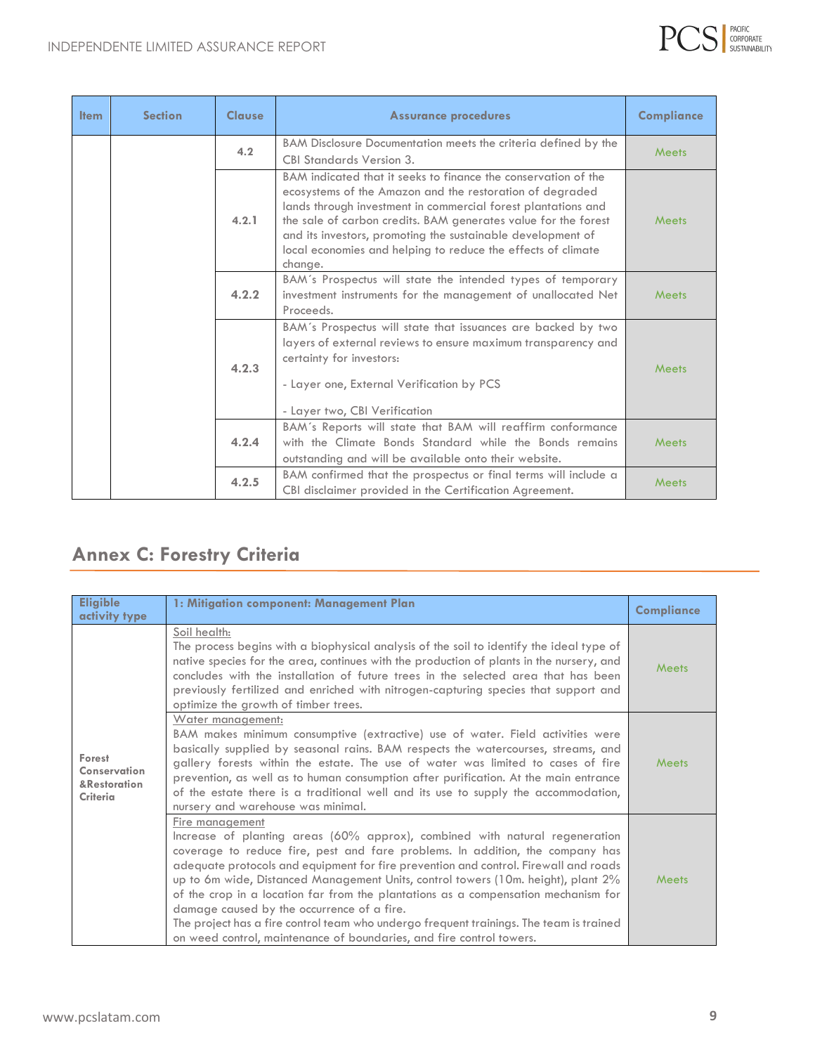

| <b>Item</b> | <b>Section</b>                                                                                                                                    | <b>Clause</b> | <b>Assurance procedures</b>                                                                                                                                                                                                                                                                                                                                                                             | <b>Compliance</b> |
|-------------|---------------------------------------------------------------------------------------------------------------------------------------------------|---------------|---------------------------------------------------------------------------------------------------------------------------------------------------------------------------------------------------------------------------------------------------------------------------------------------------------------------------------------------------------------------------------------------------------|-------------------|
|             |                                                                                                                                                   | 4.2           | BAM Disclosure Documentation meets the criteria defined by the<br><b>CBI Standards Version 3.</b>                                                                                                                                                                                                                                                                                                       | Meets             |
|             |                                                                                                                                                   | 4.2.1         | BAM indicated that it seeks to finance the conservation of the<br>ecosystems of the Amazon and the restoration of degraded<br>lands through investment in commercial forest plantations and<br>the sale of carbon credits. BAM generates value for the forest<br>and its investors, promoting the sustainable development of<br>local economies and helping to reduce the effects of climate<br>change. | <b>Meets</b>      |
|             | BAM's Prospectus will state the intended types of temporary<br>4.2.2<br>investment instruments for the management of unallocated Net<br>Proceeds. |               | <b>Meets</b>                                                                                                                                                                                                                                                                                                                                                                                            |                   |
|             |                                                                                                                                                   | 4.2.3         | BAM's Prospectus will state that issuances are backed by two<br>layers of external reviews to ensure maximum transparency and<br>certainty for investors:<br>- Layer one, External Verification by PCS<br>- Layer two, CBI Verification                                                                                                                                                                 | <b>Meets</b>      |
|             |                                                                                                                                                   | 4.2.4         | BAM's Reports will state that BAM will reaffirm conformance<br>with the Climate Bonds Standard while the Bonds remains<br>outstanding and will be available onto their website.                                                                                                                                                                                                                         | <b>Meets</b>      |
|             |                                                                                                                                                   | 4.2.5         | BAM confirmed that the prospectus or final terms will include a<br>CBI disclaimer provided in the Certification Agreement.                                                                                                                                                                                                                                                                              | Meets             |

# **Annex C: Forestry Criteria**

| <b>Eligible</b><br>activity type                   | 1: Mitigation component: Management Plan                                                                                                                                                                                                                                                                                                                                                                                                                                                                                                                                                                                                                            | <b>Compliance</b> |
|----------------------------------------------------|---------------------------------------------------------------------------------------------------------------------------------------------------------------------------------------------------------------------------------------------------------------------------------------------------------------------------------------------------------------------------------------------------------------------------------------------------------------------------------------------------------------------------------------------------------------------------------------------------------------------------------------------------------------------|-------------------|
|                                                    | Soil health:<br>The process begins with a biophysical analysis of the soil to identify the ideal type of<br>native species for the area, continues with the production of plants in the nursery, and<br>concludes with the installation of future trees in the selected area that has been<br>previously fertilized and enriched with nitrogen-capturing species that support and<br>optimize the growth of timber trees.                                                                                                                                                                                                                                           | Meets             |
| Forest<br>Conservation<br>&Restoration<br>Criteria | Water management:<br>BAM makes minimum consumptive (extractive) use of water. Field activities were<br>basically supplied by seasonal rains. BAM respects the watercourses, streams, and<br>gallery forests within the estate. The use of water was limited to cases of fire<br>prevention, as well as to human consumption after purification. At the main entrance<br>of the estate there is a traditional well and its use to supply the accommodation,<br>nursery and warehouse was minimal.                                                                                                                                                                    | <b>Meets</b>      |
|                                                    | Fire management<br>Increase of planting areas (60% approx), combined with natural regeneration<br>coverage to reduce fire, pest and fare problems. In addition, the company has<br>adequate protocols and equipment for fire prevention and control. Firewall and roads<br>up to 6m wide, Distanced Management Units, control towers (10m. height), plant 2%<br>of the crop in a location far from the plantations as a compensation mechanism for<br>damage caused by the occurrence of a fire.<br>The project has a fire control team who undergo frequent trainings. The team is trained<br>on weed control, maintenance of boundaries, and fire control towers. | Meets             |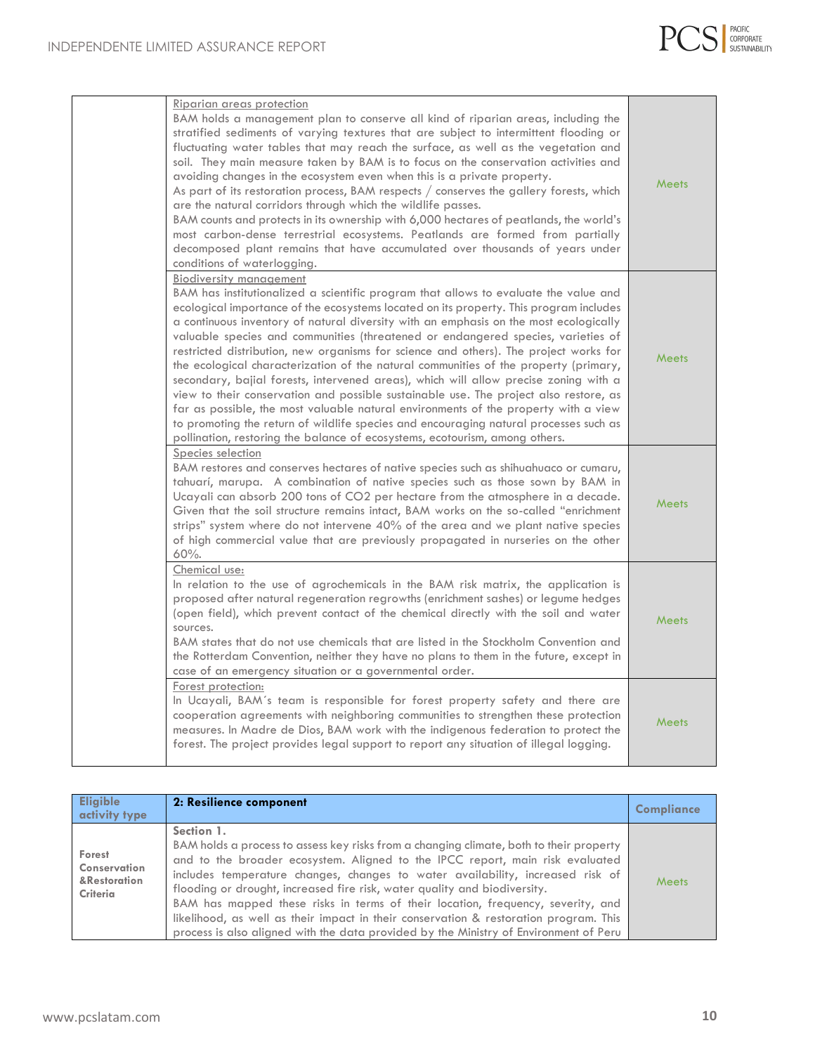

| Riparian areas protection<br>BAM holds a management plan to conserve all kind of riparian areas, including the<br>stratified sediments of varying textures that are subject to intermittent flooding or<br>fluctuating water tables that may reach the surface, as well as the vegetation and<br>soil. They main measure taken by BAM is to focus on the conservation activities and<br>avoiding changes in the ecosystem even when this is a private property.<br>As part of its restoration process, BAM respects $/$ conserves the gallery forests, which<br>are the natural corridors through which the wildlife passes.<br>BAM counts and protects in its ownership with 6,000 hectares of peatlands, the world's<br>most carbon-dense terrestrial ecosystems. Peatlands are formed from partially<br>decomposed plant remains that have accumulated over thousands of years under<br>conditions of waterlogging.                                                                                                         | <b>Meets</b> |
|--------------------------------------------------------------------------------------------------------------------------------------------------------------------------------------------------------------------------------------------------------------------------------------------------------------------------------------------------------------------------------------------------------------------------------------------------------------------------------------------------------------------------------------------------------------------------------------------------------------------------------------------------------------------------------------------------------------------------------------------------------------------------------------------------------------------------------------------------------------------------------------------------------------------------------------------------------------------------------------------------------------------------------|--------------|
| <b>Biodiversity management</b><br>BAM has institutionalized a scientific program that allows to evaluate the value and<br>ecological importance of the ecosystems located on its property. This program includes<br>a continuous inventory of natural diversity with an emphasis on the most ecologically<br>valuable species and communities (threatened or endangered species, varieties of<br>restricted distribution, new organisms for science and others). The project works for<br>the ecological characterization of the natural communities of the property (primary,<br>secondary, bajial forests, intervened areas), which will allow precise zoning with a<br>view to their conservation and possible sustainable use. The project also restore, as<br>far as possible, the most valuable natural environments of the property with a view<br>to promoting the return of wildlife species and encouraging natural processes such as<br>pollination, restoring the balance of ecosystems, ecotourism, among others. | <b>Meets</b> |
| Species selection<br>BAM restores and conserves hectares of native species such as shihuahuaco or cumaru,<br>tahuarí, marupa. A combination of native species such as those sown by BAM in<br>Ucayali can absorb 200 tons of CO2 per hectare from the atmosphere in a decade.<br>Given that the soil structure remains intact, BAM works on the so-called "enrichment<br>strips" system where do not intervene 40% of the area and we plant native species<br>of high commercial value that are previously propagated in nurseries on the other<br>$60%$ .                                                                                                                                                                                                                                                                                                                                                                                                                                                                     | <b>Meets</b> |
| Chemical use:<br>In relation to the use of agrochemicals in the BAM risk matrix, the application is<br>proposed after natural regeneration regrowths (enrichment sashes) or legume hedges<br>(open field), which prevent contact of the chemical directly with the soil and water<br>sources.<br>BAM states that do not use chemicals that are listed in the Stockholm Convention and<br>the Rotterdam Convention, neither they have no plans to them in the future, except in<br>case of an emergency situation or a governmental order.                                                                                                                                                                                                                                                                                                                                                                                                                                                                                      | <b>Meets</b> |
| Forest protection:<br>In Ucayali, BAM's team is responsible for forest property safety and there are<br>cooperation agreements with neighboring communities to strengthen these protection<br>measures. In Madre de Dios, BAM work with the indigenous federation to protect the<br>forest. The project provides legal support to report any situation of illegal logging.                                                                                                                                                                                                                                                                                                                                                                                                                                                                                                                                                                                                                                                     | <b>Meets</b> |

| <b>Eligible</b><br>activity type                          | 2: Resilience component                                                                                                                                                                                                                                                                                                                                                                                                                                                                                                                                                                                                    | Compliance   |
|-----------------------------------------------------------|----------------------------------------------------------------------------------------------------------------------------------------------------------------------------------------------------------------------------------------------------------------------------------------------------------------------------------------------------------------------------------------------------------------------------------------------------------------------------------------------------------------------------------------------------------------------------------------------------------------------------|--------------|
| Forest<br>Conservation<br>&Restoration<br><b>Criteria</b> | Section 1.<br>BAM holds a process to assess key risks from a changing climate, both to their property<br>and to the broader ecosystem. Aligned to the IPCC report, main risk evaluated<br>includes temperature changes, changes to water availability, increased risk of<br>flooding or drought, increased fire risk, water quality and biodiversity.<br>BAM has mapped these risks in terms of their location, frequency, severity, and<br>likelihood, as well as their impact in their conservation & restoration program. This<br>process is also aligned with the data provided by the Ministry of Environment of Peru | <b>Meets</b> |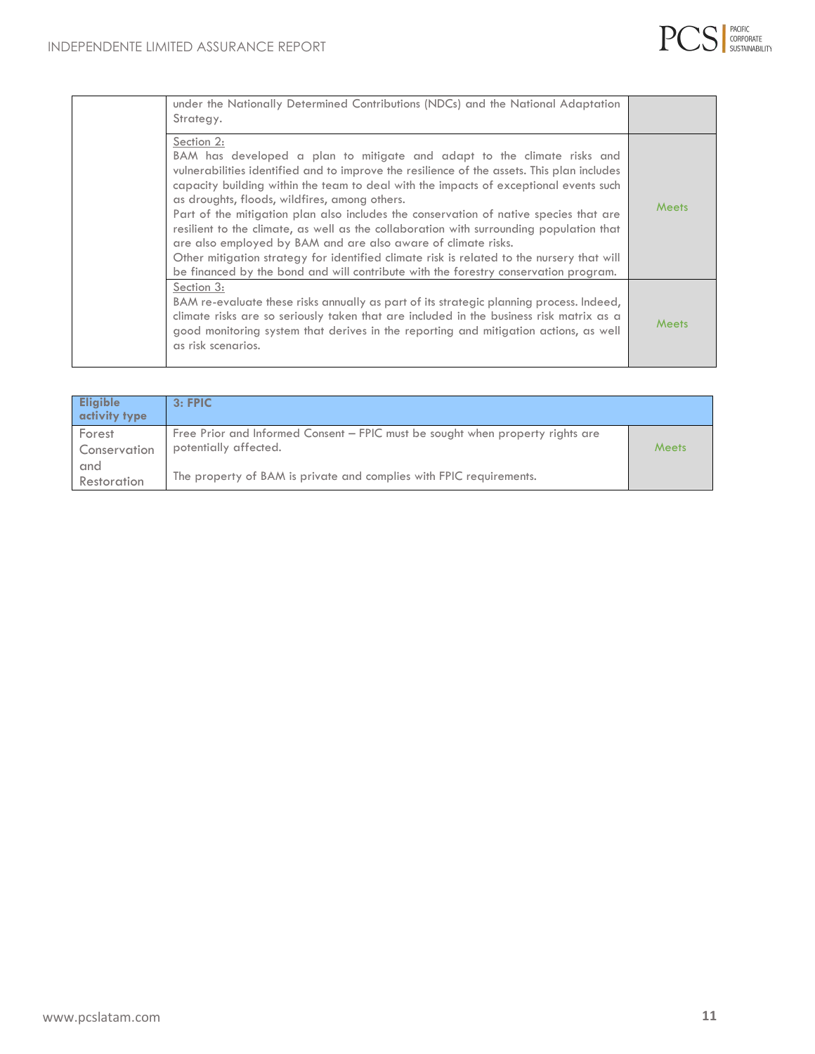

| under the Nationally Determined Contributions (NDCs) and the National Adaptation<br>Strategy.                                                                                                                                                                                                                                                                                                                                                                                                                                                                                                                                                                                                                                                                          |              |
|------------------------------------------------------------------------------------------------------------------------------------------------------------------------------------------------------------------------------------------------------------------------------------------------------------------------------------------------------------------------------------------------------------------------------------------------------------------------------------------------------------------------------------------------------------------------------------------------------------------------------------------------------------------------------------------------------------------------------------------------------------------------|--------------|
| Section 2:<br>BAM has developed a plan to mitigate and adapt to the climate risks and<br>vulnerabilities identified and to improve the resilience of the assets. This plan includes<br>capacity building within the team to deal with the impacts of exceptional events such<br>as droughts, floods, wildfires, among others.<br>Part of the mitigation plan also includes the conservation of native species that are<br>resilient to the climate, as well as the collaboration with surrounding population that<br>are also employed by BAM and are also aware of climate risks.<br>Other mitigation strategy for identified climate risk is related to the nursery that will<br>be financed by the bond and will contribute with the forestry conservation program. | Meets        |
| Section 3:<br>BAM re-evaluate these risks annually as part of its strategic planning process. Indeed,<br>climate risks are so seriously taken that are included in the business risk matrix as a<br>good monitoring system that derives in the reporting and mitigation actions, as well<br>as risk scenarios.                                                                                                                                                                                                                                                                                                                                                                                                                                                         | <b>Meets</b> |

| <b>Eligible</b><br>activity type | 3: FPIC                                                                                                 |       |
|----------------------------------|---------------------------------------------------------------------------------------------------------|-------|
| Forest<br>Conservation           | Free Prior and Informed Consent – FPIC must be sought when property rights are<br>potentially affected. | Meets |
| and<br>Restoration               | The property of BAM is private and complies with FPIC requirements.                                     |       |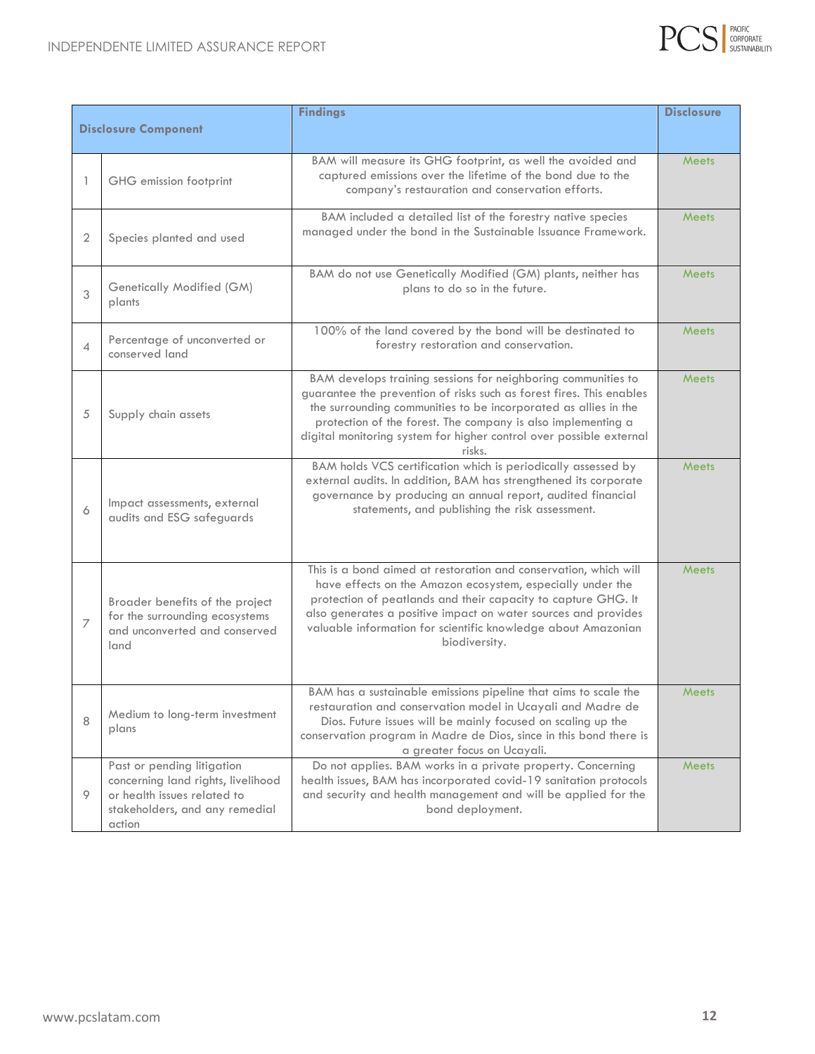

| <b>Findings</b>             |                                                                                                                                             |                                                                                                                                                                                                                                                                                                                                                           | <b>Disclosure</b> |
|-----------------------------|---------------------------------------------------------------------------------------------------------------------------------------------|-----------------------------------------------------------------------------------------------------------------------------------------------------------------------------------------------------------------------------------------------------------------------------------------------------------------------------------------------------------|-------------------|
| <b>Disclosure Component</b> |                                                                                                                                             |                                                                                                                                                                                                                                                                                                                                                           |                   |
| 1                           | GHG emission footprint                                                                                                                      | BAM will measure its GHG footprint, as well the avoided and<br>captured emissions over the lifetime of the bond due to the<br>company's restauration and conservation efforts.                                                                                                                                                                            | <b>Meets</b>      |
| 2                           | Species planted and used                                                                                                                    | BAM included a detailed list of the forestry native species<br>managed under the bond in the Sustainable Issuance Framework.                                                                                                                                                                                                                              | Meets             |
| 3                           | Genetically Modified (GM)<br>plants                                                                                                         | BAM do not use Genetically Modified (GM) plants, neither has<br>plans to do so in the future.                                                                                                                                                                                                                                                             | <b>Meets</b>      |
| 4                           | Percentage of unconverted or<br>conserved land                                                                                              | 100% of the land covered by the bond will be destinated to<br>forestry restoration and conservation.                                                                                                                                                                                                                                                      | <b>Meets</b>      |
| 5                           | Supply chain assets                                                                                                                         | BAM develops training sessions for neighboring communities to<br>guarantee the prevention of risks such as forest fires. This enables<br>the surrounding communities to be incorporated as allies in the<br>protection of the forest. The company is also implementing a<br>digital monitoring system for higher control over possible external<br>risks. | <b>Meets</b>      |
| 6                           | Impact assessments, external<br>audits and ESG safeguards                                                                                   | BAM holds VCS certification which is periodically assessed by<br>external audits. In addition, BAM has strengthened its corporate<br>governance by producing an annual report, audited financial<br>statements, and publishing the risk assessment.                                                                                                       | <b>Meets</b>      |
| $\overline{7}$              | Broader benefits of the project<br>for the surrounding ecosystems<br>and unconverted and conserved<br>land                                  | This is a bond aimed at restoration and conservation, which will<br>have effects on the Amazon ecosystem, especially under the<br>protection of peatlands and their capacity to capture GHG. It<br>also generates a positive impact on water sources and provides<br>valuable information for scientific knowledge about Amazonian<br>biodiversity.       | Meets             |
| 8                           | Medium to long-term investment<br>plans                                                                                                     | BAM has a sustainable emissions pipeline that aims to scale the<br>restauration and conservation model in Ucayali and Madre de<br>Dios. Future issues will be mainly focused on scaling up the<br>conservation program in Madre de Dios, since in this bond there is<br>a greater focus on Ucayali.                                                       | <b>Meets</b>      |
| 9                           | Past or pending litigation<br>concerning land rights, livelihood<br>or health issues related to<br>stakeholders, and any remedial<br>action | Do not applies. BAM works in a private property. Concerning<br>health issues, BAM has incorporated covid-19 sanitation protocols<br>and security and health management and will be applied for the<br>bond deployment.                                                                                                                                    | Meets             |